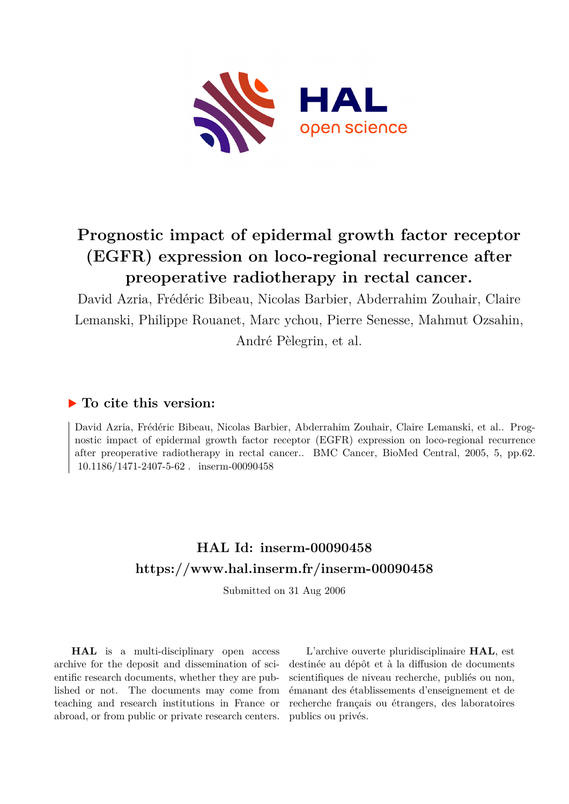

# **Prognostic impact of epidermal growth factor receptor (EGFR) expression on loco-regional recurrence after preoperative radiotherapy in rectal cancer.**

David Azria, Frédéric Bibeau, Nicolas Barbier, Abderrahim Zouhair, Claire Lemanski, Philippe Rouanet, Marc ychou, Pierre Senesse, Mahmut Ozsahin, André Pèlegrin, et al.

# **To cite this version:**

David Azria, Frédéric Bibeau, Nicolas Barbier, Abderrahim Zouhair, Claire Lemanski, et al.. Prognostic impact of epidermal growth factor receptor (EGFR) expression on loco-regional recurrence after preoperative radiotherapy in rectal cancer.. BMC Cancer, BioMed Central, 2005, 5, pp.62. 10.1186/1471-2407-5-62. inserm-00090458

# **HAL Id: inserm-00090458 <https://www.hal.inserm.fr/inserm-00090458>**

Submitted on 31 Aug 2006

**HAL** is a multi-disciplinary open access archive for the deposit and dissemination of scientific research documents, whether they are published or not. The documents may come from teaching and research institutions in France or abroad, or from public or private research centers.

L'archive ouverte pluridisciplinaire **HAL**, est destinée au dépôt et à la diffusion de documents scientifiques de niveau recherche, publiés ou non, émanant des établissements d'enseignement et de recherche français ou étrangers, des laboratoires publics ou privés.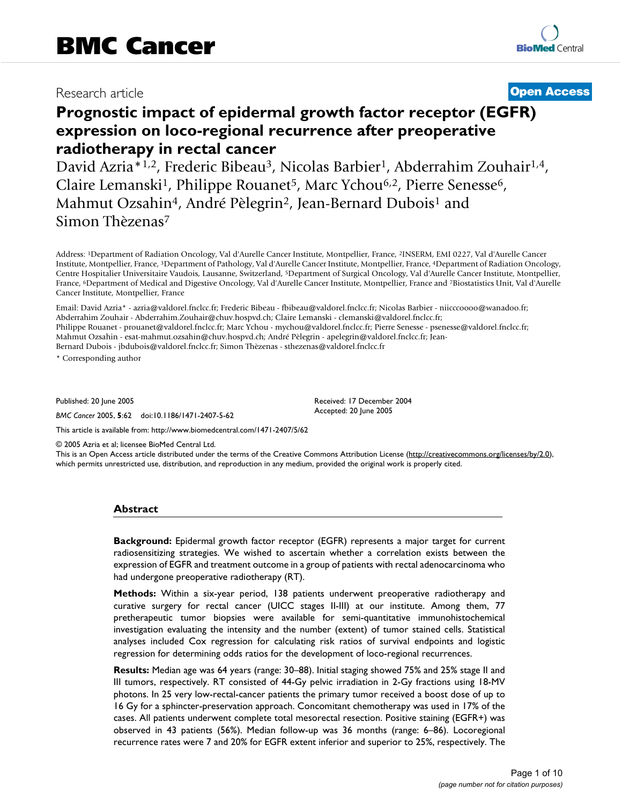# Research article **Contract Contract Contract Contract Contract Contract Contract Contract Contract Contract Contract Contract Contract Contract Contract Contract Contract Contract Contract Contract Contract Contract Contra**

# **Prognostic impact of epidermal growth factor receptor (EGFR) expression on loco-regional recurrence after preoperative radiotherapy in rectal cancer**

David Azria\*<sup>1,2</sup>, Frederic Bibeau<sup>3</sup>, Nicolas Barbier<sup>1</sup>, Abderrahim Zouhair<sup>1,4</sup>, Claire Lemanski<sup>1</sup>, Philippe Rouanet<sup>5</sup>, Marc Ychou<sup>6,2</sup>, Pierre Senesse<sup>6</sup>, Mahmut Ozsahin<sup>4</sup>, André Pèlegrin<sup>2</sup>, Jean-Bernard Dubois<sup>1</sup> and Simon Thèzenas<sup>7</sup>

Address: <sup>1</sup>Department of Radiation Oncology, Val d'Aurelle Cancer Institute, Montpellier, France, <sup>2</sup>INSERM, EMI 0227, Val d'Aurelle Cancer Institute, Montpellier, France, <sup>3</sup>Department of Pathology, Val d'Aurelle Cancer Institute, Montpellier, France, <sup>4</sup>Department of Radiation Oncology, Centre Hospitalier Universitaire Vaudois, Lausanne, Switzerland, <sup>5</sup>Department of Surgical Oncology, Val d'Aurelle Cancer Institute, Montpellier, France, <sup>6</sup>Department of Medical and Digestive Oncology, Val d'Aurelle Cancer Institute, Montpellier, France and <sup>7</sup>Biostatistics Unit, Val d'Aurelle Cancer Institute, Montpellier, France

Email: David Azria\* - azria@valdorel.fnclcc.fr; Frederic Bibeau - fbibeau@valdorel.fnclcc.fr; Nicolas Barbier - niicccoooo@wanadoo.fr; Abderrahim Zouhair - Abderrahim.Zouhair@chuv.hospvd.ch; Claire Lemanski - clemanski@valdorel.fnclcc.fr; Philippe Rouanet - prouanet@valdorel.fnclcc.fr; Marc Ychou - mychou@valdorel.fnclcc.fr; Pierre Senesse - psenesse@valdorel.fnclcc.fr; Mahmut Ozsahin - esat-mahmut.ozsahin@chuv.hospvd.ch; André Pèlegrin - apelegrin@valdorel.fnclcc.fr; Jean-Bernard Dubois - jbdubois@valdorel.fnclcc.fr; Simon Thèzenas - sthezenas@valdorel.fnclcc.fr

\* Corresponding author

Published: 20 June 2005

*BMC Cancer* 2005, **5**:62 doi:10.1186/1471-2407-5-62

[This article is available from: http://www.biomedcentral.com/1471-2407/5/62](http://www.biomedcentral.com/1471-2407/5/62)

© 2005 Azria et al; licensee BioMed Central Ltd.

This is an Open Access article distributed under the terms of the Creative Commons Attribution License [\(http://creativecommons.org/licenses/by/2.0\)](http://creativecommons.org/licenses/by/2.0), which permits unrestricted use, distribution, and reproduction in any medium, provided the original work is properly cited.

Received: 17 December 2004 Accepted: 20 June 2005

## **Abstract**

**Background:** Epidermal growth factor receptor (EGFR) represents a major target for current radiosensitizing strategies. We wished to ascertain whether a correlation exists between the expression of EGFR and treatment outcome in a group of patients with rectal adenocarcinoma who had undergone preoperative radiotherapy (RT).

**Methods:** Within a six-year period, 138 patients underwent preoperative radiotherapy and curative surgery for rectal cancer (UICC stages II-III) at our institute. Among them, 77 pretherapeutic tumor biopsies were available for semi-quantitative immunohistochemical investigation evaluating the intensity and the number (extent) of tumor stained cells. Statistical analyses included Cox regression for calculating risk ratios of survival endpoints and logistic regression for determining odds ratios for the development of loco-regional recurrences.

**Results:** Median age was 64 years (range: 30–88). Initial staging showed 75% and 25% stage II and III tumors, respectively. RT consisted of 44-Gy pelvic irradiation in 2-Gy fractions using 18-MV photons. In 25 very low-rectal-cancer patients the primary tumor received a boost dose of up to 16 Gy for a sphincter-preservation approach. Concomitant chemotherapy was used in 17% of the cases. All patients underwent complete total mesorectal resection. Positive staining (EGFR+) was observed in 43 patients (56%). Median follow-up was 36 months (range: 6–86). Locoregional recurrence rates were 7 and 20% for EGFR extent inferior and superior to 25%, respectively. The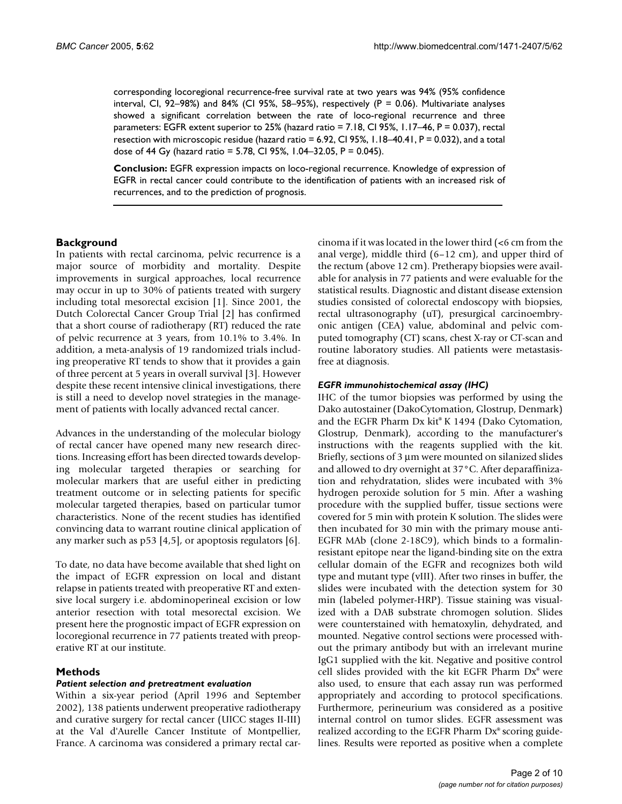corresponding locoregional recurrence-free survival rate at two years was 94% (95% confidence interval, CI, 92–98%) and 84% (CI 95%, 58–95%), respectively ( $P = 0.06$ ). Multivariate analyses showed a significant correlation between the rate of loco-regional recurrence and three parameters: EGFR extent superior to 25% (hazard ratio = 7.18, CI 95%, 1.17–46, P = 0.037), rectal resection with microscopic residue (hazard ratio = 6.92, CI 95%, 1.18–40.41, P = 0.032), and a total dose of 44 Gy (hazard ratio = 5.78, CI 95%, 1.04–32.05, P = 0.045).

**Conclusion:** EGFR expression impacts on loco-regional recurrence. Knowledge of expression of EGFR in rectal cancer could contribute to the identification of patients with an increased risk of recurrences, and to the prediction of prognosis.

# **Background**

In patients with rectal carcinoma, pelvic recurrence is a major source of morbidity and mortality. Despite improvements in surgical approaches, local recurrence may occur in up to 30% of patients treated with surgery including total mesorectal excision [1]. Since 2001, the Dutch Colorectal Cancer Group Trial [2] has confirmed that a short course of radiotherapy (RT) reduced the rate of pelvic recurrence at 3 years, from 10.1% to 3.4%. In addition, a meta-analysis of 19 randomized trials including preoperative RT tends to show that it provides a gain of three percent at 5 years in overall survival [3]. However despite these recent intensive clinical investigations, there is still a need to develop novel strategies in the management of patients with locally advanced rectal cancer.

Advances in the understanding of the molecular biology of rectal cancer have opened many new research directions. Increasing effort has been directed towards developing molecular targeted therapies or searching for molecular markers that are useful either in predicting treatment outcome or in selecting patients for specific molecular targeted therapies, based on particular tumor characteristics. None of the recent studies has identified convincing data to warrant routine clinical application of any marker such as p53 [4,5], or apoptosis regulators [6].

To date, no data have become available that shed light on the impact of EGFR expression on local and distant relapse in patients treated with preoperative RT and extensive local surgery i.e. abdominoperineal excision or low anterior resection with total mesorectal excision. We present here the prognostic impact of EGFR expression on locoregional recurrence in 77 patients treated with preoperative RT at our institute.

# **Methods**

## *Patient selection and pretreatment evaluation*

Within a six-year period (April 1996 and September 2002), 138 patients underwent preoperative radiotherapy and curative surgery for rectal cancer (UICC stages II-III) at the Val d'Aurelle Cancer Institute of Montpellier, France. A carcinoma was considered a primary rectal carcinoma if it was located in the lower third  $\leq 6$  cm from the anal verge), middle third (6–12 cm), and upper third of the rectum (above 12 cm). Pretherapy biopsies were available for analysis in 77 patients and were evaluable for the statistical results. Diagnostic and distant disease extension studies consisted of colorectal endoscopy with biopsies, rectal ultrasonography (uT), presurgical carcinoembryonic antigen (CEA) value, abdominal and pelvic computed tomography (CT) scans, chest X-ray or CT-scan and routine laboratory studies. All patients were metastasisfree at diagnosis.

## *EGFR immunohistochemical assay (IHC)*

IHC of the tumor biopsies was performed by using the Dako autostainer (DakoCytomation, Glostrup, Denmark) and the EGFR Pharm Dx kit® K 1494 (Dako Cytomation, Glostrup, Denmark), according to the manufacturer's instructions with the reagents supplied with the kit. Briefly, sections of 3 µm were mounted on silanized slides and allowed to dry overnight at 37°C. After deparaffinization and rehydratation, slides were incubated with 3% hydrogen peroxide solution for 5 min. After a washing procedure with the supplied buffer, tissue sections were covered for 5 min with protein K solution. The slides were then incubated for 30 min with the primary mouse anti-EGFR MAb (clone 2-18C9), which binds to a formalinresistant epitope near the ligand-binding site on the extra cellular domain of the EGFR and recognizes both wild type and mutant type (vIII). After two rinses in buffer, the slides were incubated with the detection system for 30 min (labeled polymer-HRP). Tissue staining was visualized with a DAB substrate chromogen solution. Slides were counterstained with hematoxylin, dehydrated, and mounted. Negative control sections were processed without the primary antibody but with an irrelevant murine IgG1 supplied with the kit. Negative and positive control cell slides provided with the kit EGFR Pharm Dx® were also used, to ensure that each assay run was performed appropriately and according to protocol specifications. Furthermore, perineurium was considered as a positive internal control on tumor slides. EGFR assessment was realized according to the EGFR Pharm Dx® scoring guidelines. Results were reported as positive when a complete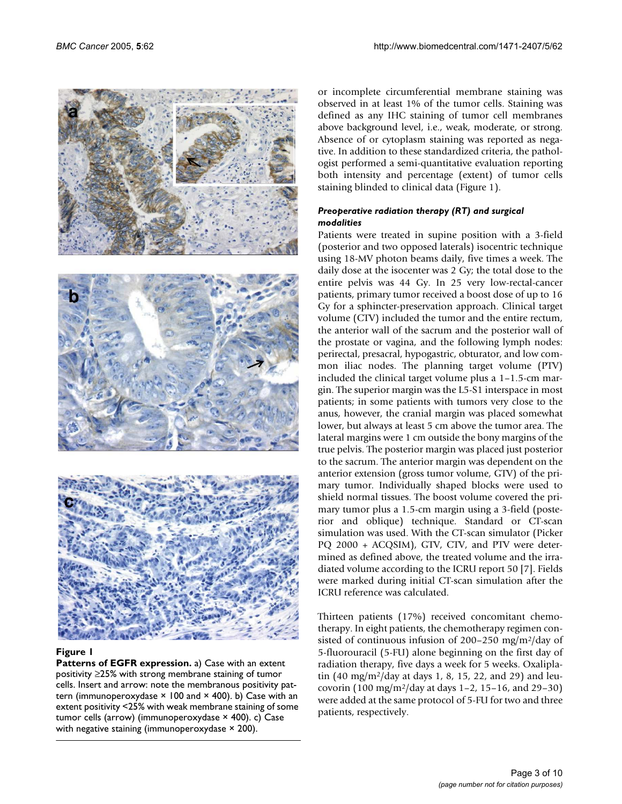

## **Figure 1**

**Patterns of EGFR expression.** a) Case with an extent positivity ≥25% with strong membrane staining of tumor cells. Insert and arrow: note the membranous positivity pattern (immunoperoxydase  $\times$  100 and  $\times$  400). b) Case with an extent positivity <25% with weak membrane staining of some tumor cells (arrow) (immunoperoxydase × 400). c) Case with negative staining (immunoperoxydase × 200).

or incomplete circumferential membrane staining was observed in at least 1% of the tumor cells. Staining was defined as any IHC staining of tumor cell membranes above background level, i.e., weak, moderate, or strong. Absence of or cytoplasm staining was reported as negative. In addition to these standardized criteria, the pathologist performed a semi-quantitative evaluation reporting both intensity and percentage (extent) of tumor cells staining blinded to clinical data (Figure 1).

# *Preoperative radiation therapy (RT) and surgical modalities*

Patients were treated in supine position with a 3-field (posterior and two opposed laterals) isocentric technique using 18-MV photon beams daily, five times a week. The daily dose at the isocenter was 2 Gy; the total dose to the entire pelvis was 44 Gy. In 25 very low-rectal-cancer patients, primary tumor received a boost dose of up to 16 Gy for a sphincter-preservation approach. Clinical target volume (CTV) included the tumor and the entire rectum, the anterior wall of the sacrum and the posterior wall of the prostate or vagina, and the following lymph nodes: perirectal, presacral, hypogastric, obturator, and low common iliac nodes. The planning target volume (PTV) included the clinical target volume plus a 1–1.5-cm margin. The superior margin was the L5-S1 interspace in most patients; in some patients with tumors very close to the anus, however, the cranial margin was placed somewhat lower, but always at least 5 cm above the tumor area. The lateral margins were 1 cm outside the bony margins of the true pelvis. The posterior margin was placed just posterior to the sacrum. The anterior margin was dependent on the anterior extension (gross tumor volume, GTV) of the primary tumor. Individually shaped blocks were used to shield normal tissues. The boost volume covered the primary tumor plus a 1.5-cm margin using a 3-field (posterior and oblique) technique. Standard or CT-scan simulation was used. With the CT-scan simulator (Picker PQ 2000 + ACQSIM), GTV, CTV, and PTV were determined as defined above, the treated volume and the irradiated volume according to the ICRU report 50 [7]. Fields were marked during initial CT-scan simulation after the ICRU reference was calculated.

Thirteen patients (17%) received concomitant chemotherapy. In eight patients, the chemotherapy regimen consisted of continuous infusion of 200–250 mg/m<sup>2</sup>/day of 5-fluorouracil (5-FU) alone beginning on the first day of radiation therapy, five days a week for 5 weeks. Oxaliplatin  $(40 \text{ mg/m}^2/\text{day}$  at days 1, 8, 15, 22, and 29) and leucovorin  $(100 \text{ mg/m}^2/\text{day}$  at days 1–2, 15–16, and 29–30) were added at the same protocol of 5-FU for two and three patients, respectively.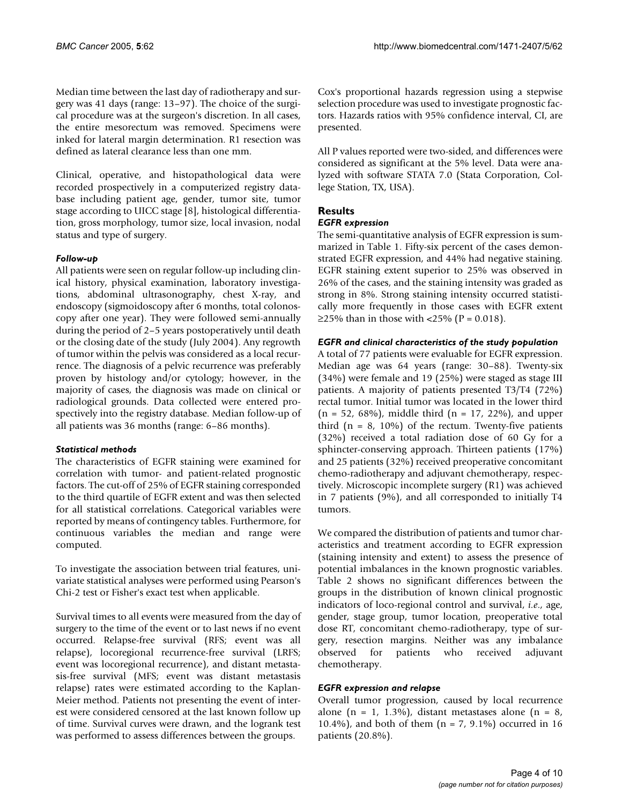Median time between the last day of radiotherapy and surgery was 41 days (range: 13–97). The choice of the surgical procedure was at the surgeon's discretion. In all cases, the entire mesorectum was removed. Specimens were inked for lateral margin determination. R1 resection was defined as lateral clearance less than one mm.

Clinical, operative, and histopathological data were recorded prospectively in a computerized registry database including patient age, gender, tumor site, tumor stage according to UICC stage [8], histological differentiation, gross morphology, tumor size, local invasion, nodal status and type of surgery.

# *Follow-up*

All patients were seen on regular follow-up including clinical history, physical examination, laboratory investigations, abdominal ultrasonography, chest X-ray, and endoscopy (sigmoidoscopy after 6 months, total colonoscopy after one year). They were followed semi-annually during the period of 2–5 years postoperatively until death or the closing date of the study (July 2004). Any regrowth of tumor within the pelvis was considered as a local recurrence. The diagnosis of a pelvic recurrence was preferably proven by histology and/or cytology; however, in the majority of cases, the diagnosis was made on clinical or radiological grounds. Data collected were entered prospectively into the registry database. Median follow-up of all patients was 36 months (range: 6–86 months).

# *Statistical methods*

The characteristics of EGFR staining were examined for correlation with tumor- and patient-related prognostic factors. The cut-off of 25% of EGFR staining corresponded to the third quartile of EGFR extent and was then selected for all statistical correlations. Categorical variables were reported by means of contingency tables. Furthermore, for continuous variables the median and range were computed.

To investigate the association between trial features, univariate statistical analyses were performed using Pearson's Chi-2 test or Fisher's exact test when applicable.

Survival times to all events were measured from the day of surgery to the time of the event or to last news if no event occurred. Relapse-free survival (RFS; event was all relapse), locoregional recurrence-free survival (LRFS; event was locoregional recurrence), and distant metastasis-free survival (MFS; event was distant metastasis relapse) rates were estimated according to the Kaplan-Meier method. Patients not presenting the event of interest were considered censored at the last known follow up of time. Survival curves were drawn, and the logrank test was performed to assess differences between the groups.

Cox's proportional hazards regression using a stepwise selection procedure was used to investigate prognostic factors. Hazards ratios with 95% confidence interval, CI, are presented.

All P values reported were two-sided, and differences were considered as significant at the 5% level. Data were analyzed with software STATA 7.0 (Stata Corporation, College Station, TX, USA).

# **Results**

# *EGFR expression*

The semi-quantitative analysis of EGFR expression is summarized in Table [1](#page-5-0). Fifty-six percent of the cases demonstrated EGFR expression, and 44% had negative staining. EGFR staining extent superior to 25% was observed in 26% of the cases, and the staining intensity was graded as strong in 8%. Strong staining intensity occurred statistically more frequently in those cases with EGFR extent ≥25% than in those with <25% ( $P = 0.018$ ).

# *EGFR and clinical characteristics of the study population*

A total of 77 patients were evaluable for EGFR expression. Median age was 64 years (range: 30–88). Twenty-six (34%) were female and 19 (25%) were staged as stage III patients. A majority of patients presented T3/T4 (72%) rectal tumor. Initial tumor was located in the lower third  $(n = 52, 68\%)$ , middle third  $(n = 17, 22\%)$ , and upper third  $(n = 8, 10\%)$  of the rectum. Twenty-five patients (32%) received a total radiation dose of 60 Gy for a sphincter-conserving approach. Thirteen patients (17%) and 25 patients (32%) received preoperative concomitant chemo-radiotherapy and adjuvant chemotherapy, respectively. Microscopic incomplete surgery (R1) was achieved in 7 patients (9%), and all corresponded to initially T4 tumors.

We compared the distribution of patients and tumor characteristics and treatment according to EGFR expression (staining intensity and extent) to assess the presence of potential imbalances in the known prognostic variables. Table [2](#page-5-1) shows no significant differences between the groups in the distribution of known clinical prognostic indicators of loco-regional control and survival, *i.e*., age, gender, stage group, tumor location, preoperative total dose RT, concomitant chemo-radiotherapy, type of surgery, resection margins. Neither was any imbalance observed for patients who received adjuvant chemotherapy.

# *EGFR expression and relapse*

Overall tumor progression, caused by local recurrence alone (n = 1, 1.3%), distant metastases alone (n = 8, 10.4%), and both of them (n = 7, 9.1%) occurred in 16 patients (20.8%).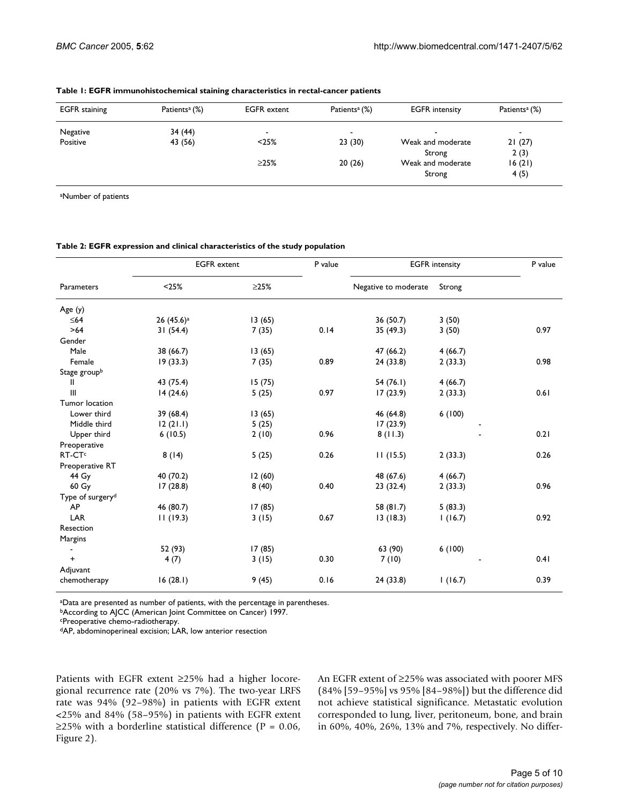| <b>EGFR</b> staining | Patients <sup>a</sup> (%) | <b>EGFR</b> extent | Patients <sup>a</sup> (%) | <b>EGFR</b> intensity       | Patients <sup>a</sup> (%) |
|----------------------|---------------------------|--------------------|---------------------------|-----------------------------|---------------------------|
| Negative             | 34 (44)                   |                    | -                         |                             | $\blacksquare$            |
| Positive             | 43 (56)                   | < 25%              | 23(30)                    | Weak and moderate<br>Strong | 21(27)<br>2(3)            |
|                      |                           | $\geq$ 25%         | 20(26)                    | Weak and moderate<br>Strong | 16(21)<br>4(5)            |

<span id="page-5-0"></span>**Table 1: EGFR immunohistochemical staining characteristics in rectal-cancer patients**

<sup>a</sup>Number of patients

#### <span id="page-5-1"></span>**Table 2: EGFR expression and clinical characteristics of the study population**

| Parameters                   | <b>EGFR</b> extent    |        | P value | <b>EGFR</b> intensity |         | P value |
|------------------------------|-----------------------|--------|---------|-----------------------|---------|---------|
|                              | < 25%                 | >25%   |         | Negative to moderate  | Strong  |         |
| Age $(y)$                    |                       |        |         |                       |         |         |
| $\leq 64$                    | 26(45.6) <sup>a</sup> | 13(65) |         | 36(50.7)              | 3(50)   |         |
| $>64$                        | 31(54.4)              | 7(35)  | 0.14    | 35 (49.3)             | 3(50)   | 0.97    |
| Gender                       |                       |        |         |                       |         |         |
| Male                         | 38 (66.7)             | 13(65) |         | 47(66.2)              | 4(66.7) |         |
| Female                       | 19(33.3)              | 7(35)  | 0.89    | 24(33.8)              | 2(33.3) | 0.98    |
| Stage groupb                 |                       |        |         |                       |         |         |
| Ш                            | 43 (75.4)             | 15(75) |         | 54(76.1)              | 4(66.7) |         |
| $\mathbf{III}$               | 14(24.6)              | 5(25)  | 0.97    | 17(23.9)              | 2(33.3) | 0.61    |
| Tumor location               |                       |        |         |                       |         |         |
| Lower third                  | 39(68.4)              | 13(65) |         | 46 (64.8)             | 6(100)  |         |
| Middle third                 | 12(21.1)              | 5(25)  |         | 17(23.9)              |         |         |
| Upper third                  | 6(10.5)               | 2(10)  | 0.96    | 8(11.3)               |         | 0.21    |
| Preoperative                 |                       |        |         |                       |         |         |
| RT-CT <sup>c</sup>           | 8(14)                 | 5(25)  | 0.26    | 11(15.5)              | 2(33.3) | 0.26    |
| Preoperative RT              |                       |        |         |                       |         |         |
| 44 Gy                        | 40 (70.2)             | 12(60) |         | 48 (67.6)             | 4(66.7) |         |
| 60 Gy                        | 17(28.8)              | 8(40)  | 0.40    | 23(32.4)              | 2(33.3) | 0.96    |
| Type of surgery <sup>d</sup> |                       |        |         |                       |         |         |
| AP                           | 46 (80.7)             | 17(85) |         | 58 (81.7)             | 5(83.3) |         |
| LAR                          | 11(19.3)              | 3(15)  | 0.67    | 13(18.3)              | 1(16.7) | 0.92    |
| Resection                    |                       |        |         |                       |         |         |
| Margins                      |                       |        |         |                       |         |         |
|                              | 52 (93)               | 17(85) |         | 63 (90)               | 6(100)  |         |
| $\ddot{}$                    | 4(7)                  | 3(15)  | 0.30    | 7(10)                 |         | 0.41    |
| Adjuvant                     |                       |        |         |                       |         |         |
| chemotherapy                 | 16(28.1)              | 9(45)  | 0.16    | 24(33.8)              | 1(16.7) | 0.39    |

aData are presented as number of patients, with the percentage in parentheses.

<sup>b</sup>According to AJCC (American Joint Committee on Cancer) 1997.

<sup>c</sup>Preoperative chemo-radiotherapy.

dAP, abdominoperineal excision; LAR, low anterior resection

Patients with EGFR extent ≥25% had a higher locoregional recurrence rate (20% vs 7%). The two-year LRFS rate was 94% (92–98%) in patients with EGFR extent <25% and 84% (58–95%) in patients with EGFR extent ≥25% with a borderline statistical difference ( $P = 0.06$ , Figure 2).

An EGFR extent of ≥25% was associated with poorer MFS (84% [59–95%] vs 95% [84–98%]) but the difference did not achieve statistical significance. Metastatic evolution corresponded to lung, liver, peritoneum, bone, and brain in 60%, 40%, 26%, 13% and 7%, respectively. No differ-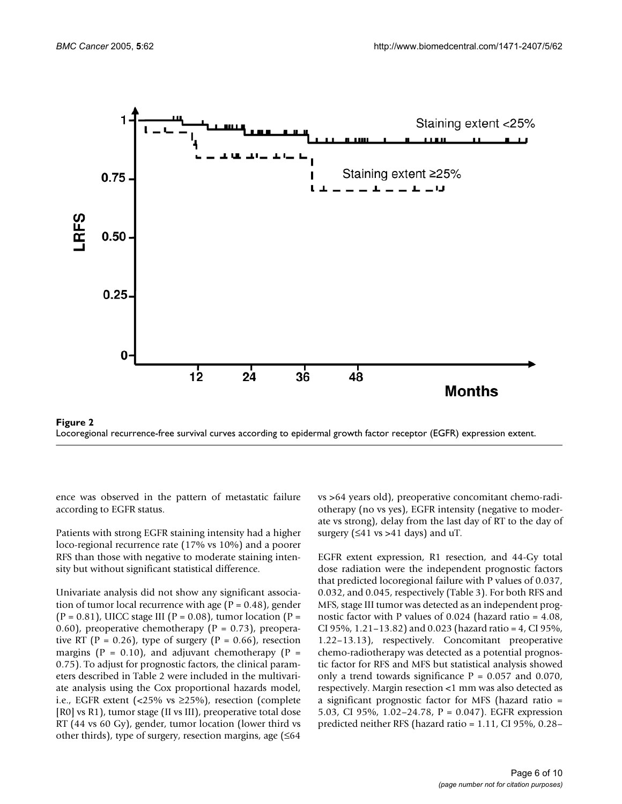

Locoregional recurrence-free survival curves according to epidermal growth factor receptor (EGFR) expression extent.

ence was observed in the pattern of metastatic failure according to EGFR status.

Patients with strong EGFR staining intensity had a higher loco-regional recurrence rate (17% vs 10%) and a poorer RFS than those with negative to moderate staining intensity but without significant statistical difference.

Univariate analysis did not show any significant association of tumor local recurrence with age ( $P = 0.48$ ), gender  $(P = 0.81)$ , UICC stage III  $(P = 0.08)$ , tumor location  $(P = 0.81)$ 0.60), preoperative chemotherapy ( $P = 0.73$ ), preoperative RT (P = 0.26), type of surgery (P = 0.66), resection margins ( $P = 0.10$ ), and adjuvant chemotherapy ( $P =$ 0.75). To adjust for prognostic factors, the clinical parameters described in Table [2](#page-5-1) were included in the multivariate analysis using the Cox proportional hazards model, i.e., EGFR extent (<25% vs ≥25%), resection (complete [R0] vs R1), tumor stage (II vs III), preoperative total dose RT (44 vs 60 Gy), gender, tumor location (lower third vs other thirds), type of surgery, resection margins, age (≤64

vs >64 years old), preoperative concomitant chemo-radiotherapy (no vs yes), EGFR intensity (negative to moderate vs strong), delay from the last day of RT to the day of surgery  $( \leq 41 \text{ vs } > 41 \text{ days})$  and uT.

EGFR extent expression, R1 resection, and 44-Gy total dose radiation were the independent prognostic factors that predicted locoregional failure with P values of 0.037, 0.032, and 0.045, respectively (Table [3\)](#page-7-0). For both RFS and MFS, stage III tumor was detected as an independent prognostic factor with P values of 0.024 (hazard ratio = 4.08, CI 95%, 1.21–13.82) and 0.023 (hazard ratio = 4, CI 95%, 1.22–13.13), respectively. Concomitant preoperative chemo-radiotherapy was detected as a potential prognostic factor for RFS and MFS but statistical analysis showed only a trend towards significance  $P = 0.057$  and 0.070, respectively. Margin resection <1 mm was also detected as a significant prognostic factor for MFS (hazard ratio = 5.03, CI 95%, 1.02–24.78, P = 0.047). EGFR expression predicted neither RFS (hazard ratio = 1.11, CI 95%, 0.28–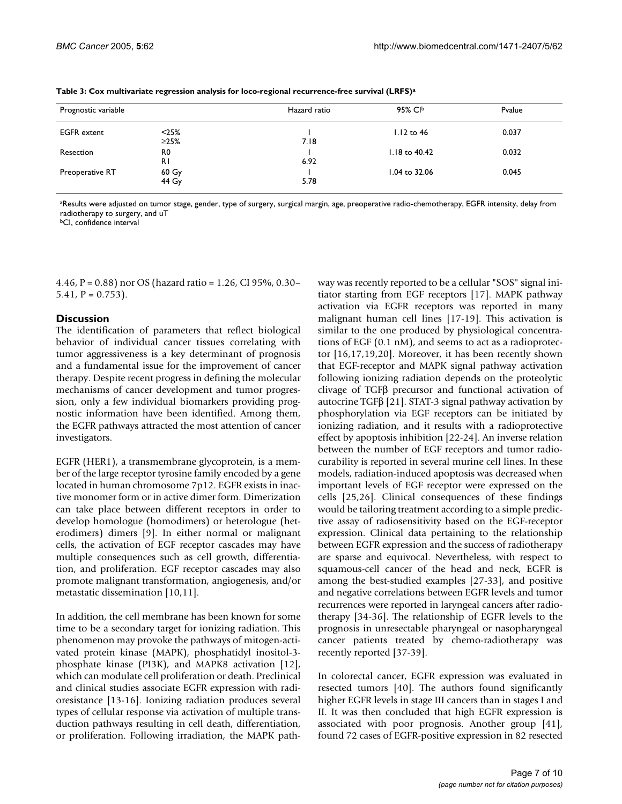| Prognostic variable |                      | Hazard ratio | 95% CIb           | Pvalue |  |
|---------------------|----------------------|--------------|-------------------|--------|--|
| <b>EGFR</b> extent  | < 25%<br>$\geq$ 25%  | 7.18         | $1.12$ to 46      | 0.037  |  |
| Resection           | R0                   | 6.92         | $1.18$ to $40.42$ | 0.032  |  |
| Preoperative RT     | R1<br>60 Gy<br>44 Gy | 5.78         | 1.04 to 32.06     | 0.045  |  |

<span id="page-7-0"></span>**Table 3: Cox multivariate regression analysis for loco-regional recurrence-free survival (LRFS)<sup>a</sup>**

<sup>a</sup>Results were adjusted on tumor stage, gender, type of surgery, surgical margin, age, preoperative radio-chemotherapy, EGFR intensity, delay from radiotherapy to surgery, and uT

**bCI**, confidence interval

4.46, P = 0.88) nor OS (hazard ratio = 1.26, CI 95%, 0.30– 5.41,  $P = 0.753$ ).

# **Discussion**

The identification of parameters that reflect biological behavior of individual cancer tissues correlating with tumor aggressiveness is a key determinant of prognosis and a fundamental issue for the improvement of cancer therapy. Despite recent progress in defining the molecular mechanisms of cancer development and tumor progression, only a few individual biomarkers providing prognostic information have been identified. Among them, the EGFR pathways attracted the most attention of cancer investigators.

EGFR (HER1), a transmembrane glycoprotein, is a member of the large receptor tyrosine family encoded by a gene located in human chromosome 7p12. EGFR exists in inactive monomer form or in active dimer form. Dimerization can take place between different receptors in order to develop homologue (homodimers) or heterologue (heterodimers) dimers [9]. In either normal or malignant cells, the activation of EGF receptor cascades may have multiple consequences such as cell growth, differentiation, and proliferation. EGF receptor cascades may also promote malignant transformation, angiogenesis, and/or metastatic dissemination [10,11].

In addition, the cell membrane has been known for some time to be a secondary target for ionizing radiation. This phenomenon may provoke the pathways of mitogen-activated protein kinase (MAPK), phosphatidyl inositol-3 phosphate kinase (PI3K), and MAPK8 activation [12], which can modulate cell proliferation or death. Preclinical and clinical studies associate EGFR expression with radioresistance [13-16]. Ionizing radiation produces several types of cellular response via activation of multiple transduction pathways resulting in cell death, differentiation, or proliferation. Following irradiation, the MAPK pathway was recently reported to be a cellular "SOS" signal initiator starting from EGF receptors [17]. MAPK pathway activation via EGFR receptors was reported in many malignant human cell lines [17-19]. This activation is similar to the one produced by physiological concentrations of EGF (0.1 nM), and seems to act as a radioprotector [16,17,19,20]. Moreover, it has been recently shown that EGF-receptor and MAPK signal pathway activation following ionizing radiation depends on the proteolytic clivage of TGFβ precursor and functional activation of autocrine TGFβ [21]. STAT-3 signal pathway activation by phosphorylation via EGF receptors can be initiated by ionizing radiation, and it results with a radioprotective effect by apoptosis inhibition [22-24]. An inverse relation between the number of EGF receptors and tumor radiocurability is reported in several murine cell lines. In these models, radiation-induced apoptosis was decreased when important levels of EGF receptor were expressed on the cells [25,26]. Clinical consequences of these findings would be tailoring treatment according to a simple predictive assay of radiosensitivity based on the EGF-receptor expression. Clinical data pertaining to the relationship between EGFR expression and the success of radiotherapy are sparse and equivocal. Nevertheless, with respect to squamous-cell cancer of the head and neck, EGFR is among the best-studied examples [27-33], and positive and negative correlations between EGFR levels and tumor recurrences were reported in laryngeal cancers after radiotherapy [34-36]. The relationship of EGFR levels to the prognosis in unresectable pharyngeal or nasopharyngeal cancer patients treated by chemo-radiotherapy was recently reported [37-39].

In colorectal cancer, EGFR expression was evaluated in resected tumors [40]. The authors found significantly higher EGFR levels in stage III cancers than in stages I and II. It was then concluded that high EGFR expression is associated with poor prognosis. Another group [41], found 72 cases of EGFR-positive expression in 82 resected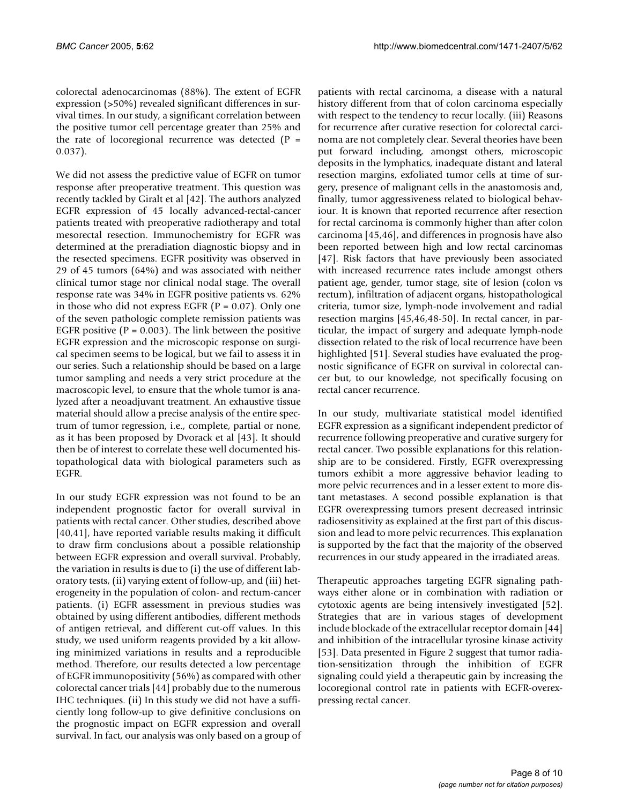colorectal adenocarcinomas (88%). The extent of EGFR expression (>50%) revealed significant differences in survival times. In our study, a significant correlation between the positive tumor cell percentage greater than 25% and the rate of locoregional recurrence was detected  $(P =$ 0.037).

We did not assess the predictive value of EGFR on tumor response after preoperative treatment. This question was recently tackled by Giralt et al [42]. The authors analyzed EGFR expression of 45 locally advanced-rectal-cancer patients treated with preoperative radiotherapy and total mesorectal resection. Immunochemistry for EGFR was determined at the preradiation diagnostic biopsy and in the resected specimens. EGFR positivity was observed in 29 of 45 tumors (64%) and was associated with neither clinical tumor stage nor clinical nodal stage. The overall response rate was 34% in EGFR positive patients vs. 62% in those who did not express EGFR ( $P = 0.07$ ). Only one of the seven pathologic complete remission patients was EGFR positive ( $P = 0.003$ ). The link between the positive EGFR expression and the microscopic response on surgical specimen seems to be logical, but we fail to assess it in our series. Such a relationship should be based on a large tumor sampling and needs a very strict procedure at the macroscopic level, to ensure that the whole tumor is analyzed after a neoadjuvant treatment. An exhaustive tissue material should allow a precise analysis of the entire spectrum of tumor regression, i.e., complete, partial or none, as it has been proposed by Dvorack et al [43]. It should then be of interest to correlate these well documented histopathological data with biological parameters such as EGFR.

In our study EGFR expression was not found to be an independent prognostic factor for overall survival in patients with rectal cancer. Other studies, described above [40,41], have reported variable results making it difficult to draw firm conclusions about a possible relationship between EGFR expression and overall survival. Probably, the variation in results is due to (i) the use of different laboratory tests, (ii) varying extent of follow-up, and (iii) heterogeneity in the population of colon- and rectum-cancer patients. (i) EGFR assessment in previous studies was obtained by using different antibodies, different methods of antigen retrieval, and different cut-off values. In this study, we used uniform reagents provided by a kit allowing minimized variations in results and a reproducible method. Therefore, our results detected a low percentage of EGFR immunopositivity (56%) as compared with other colorectal cancer trials [44] probably due to the numerous IHC techniques. (ii) In this study we did not have a sufficiently long follow-up to give definitive conclusions on the prognostic impact on EGFR expression and overall survival. In fact, our analysis was only based on a group of patients with rectal carcinoma, a disease with a natural history different from that of colon carcinoma especially with respect to the tendency to recur locally. (iii) Reasons for recurrence after curative resection for colorectal carcinoma are not completely clear. Several theories have been put forward including, amongst others, microscopic deposits in the lymphatics, inadequate distant and lateral resection margins, exfoliated tumor cells at time of surgery, presence of malignant cells in the anastomosis and, finally, tumor aggressiveness related to biological behaviour. It is known that reported recurrence after resection for rectal carcinoma is commonly higher than after colon carcinoma [45,46], and differences in prognosis have also been reported between high and low rectal carcinomas [47]. Risk factors that have previously been associated with increased recurrence rates include amongst others patient age, gender, tumor stage, site of lesion (colon vs rectum), infiltration of adjacent organs, histopathological criteria, tumor size, lymph-node involvement and radial resection margins [45,46,48-50]. In rectal cancer, in particular, the impact of surgery and adequate lymph-node dissection related to the risk of local recurrence have been highlighted [51]. Several studies have evaluated the prognostic significance of EGFR on survival in colorectal cancer but, to our knowledge, not specifically focusing on rectal cancer recurrence.

In our study, multivariate statistical model identified EGFR expression as a significant independent predictor of recurrence following preoperative and curative surgery for rectal cancer. Two possible explanations for this relationship are to be considered. Firstly, EGFR overexpressing tumors exhibit a more aggressive behavior leading to more pelvic recurrences and in a lesser extent to more distant metastases. A second possible explanation is that EGFR overexpressing tumors present decreased intrinsic radiosensitivity as explained at the first part of this discussion and lead to more pelvic recurrences. This explanation is supported by the fact that the majority of the observed recurrences in our study appeared in the irradiated areas.

Therapeutic approaches targeting EGFR signaling pathways either alone or in combination with radiation or cytotoxic agents are being intensively investigated [52]. Strategies that are in various stages of development include blockade of the extracellular receptor domain [44] and inhibition of the intracellular tyrosine kinase activity [53]. Data presented in Figure 2 suggest that tumor radiation-sensitization through the inhibition of EGFR signaling could yield a therapeutic gain by increasing the locoregional control rate in patients with EGFR-overexpressing rectal cancer.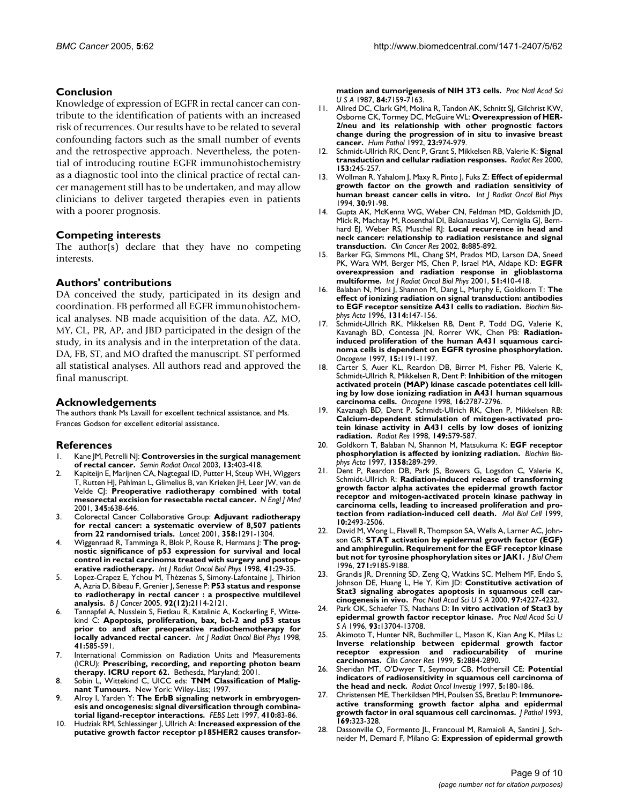# **Conclusion**

Knowledge of expression of EGFR in rectal cancer can contribute to the identification of patients with an increased risk of recurrences. Our results have to be related to several confounding factors such as the small number of events and the retrospective approach. Nevertheless, the potential of introducing routine EGFR immunohistochemistry as a diagnostic tool into the clinical practice of rectal cancer management still has to be undertaken, and may allow clinicians to deliver targeted therapies even in patients with a poorer prognosis.

# **Competing interests**

The author(s) declare that they have no competing interests.

# **Authors' contributions**

DA conceived the study, participated in its design and coordination. FB performed all EGFR immunohistochemical analyses. NB made acquisition of the data. AZ, MO, MY, CL, PR, AP, and JBD participated in the design of the study, in its analysis and in the interpretation of the data. DA, FB, ST, and MO drafted the manuscript. ST performed all statistical analyses. All authors read and approved the final manuscript.

# **Acknowledgements**

The authors thank Ms Lavaill for excellent technical assistance, and Ms. Frances Godson for excellent editorial assistance.

# **References**

- 1. Kane JM, Petrelli NJ: **[Controversies in the surgical management](http://www.ncbi.nlm.nih.gov/entrez/query.fcgi?cmd=Retrieve&db=PubMed&dopt=Abstract&list_uids=14586830) [of rectal cancer.](http://www.ncbi.nlm.nih.gov/entrez/query.fcgi?cmd=Retrieve&db=PubMed&dopt=Abstract&list_uids=14586830)** *Semin Radiat Oncol* 2003, **13:**403-418.
- 2. Kapiteijn E, Marijnen CA, Nagtegaal ID, Putter H, Steup WH, Wiggers T, Rutten HJ, Pahlman L, Glimelius B, van Krieken JH, Leer JW, van de Velde CJ: **[Preoperative radiotherapy combined with total](http://www.ncbi.nlm.nih.gov/entrez/query.fcgi?cmd=Retrieve&db=PubMed&dopt=Abstract&list_uids=11547717) [mesorectal excision for resectable rectal cancer.](http://www.ncbi.nlm.nih.gov/entrez/query.fcgi?cmd=Retrieve&db=PubMed&dopt=Abstract&list_uids=11547717)** *N Engl J Med* 2001, **345:**638-646.
- 3. Colorectal Cancer Collaborative Group: **[Adjuvant radiotherapy](http://www.ncbi.nlm.nih.gov/entrez/query.fcgi?cmd=Retrieve&db=PubMed&dopt=Abstract&list_uids=11684209) [for rectal cancer: a systematic overview of 8,507 patients](http://www.ncbi.nlm.nih.gov/entrez/query.fcgi?cmd=Retrieve&db=PubMed&dopt=Abstract&list_uids=11684209) [from 22 randomised trials.](http://www.ncbi.nlm.nih.gov/entrez/query.fcgi?cmd=Retrieve&db=PubMed&dopt=Abstract&list_uids=11684209)** *Lancet* 2001, **358:**1291-1304.
- 4. Wiggenraad R, Tamminga R, Blok P, Rouse R, Hermans J: **[The prog](http://www.ncbi.nlm.nih.gov/entrez/query.fcgi?cmd=Retrieve&db=PubMed&dopt=Abstract&list_uids=9588914)nostic significance of p53 expression for survival and local [control in rectal carcinoma treated with surgery and postop](http://www.ncbi.nlm.nih.gov/entrez/query.fcgi?cmd=Retrieve&db=PubMed&dopt=Abstract&list_uids=9588914)[erative radiotherapy.](http://www.ncbi.nlm.nih.gov/entrez/query.fcgi?cmd=Retrieve&db=PubMed&dopt=Abstract&list_uids=9588914)** *Int J Radiat Oncol Biol Phys* 1998, **41:**29-35.
- 5. Lopez-Crapez E, Ychou M, Thèzenas S, Simony-Lafontaine J, Thirion A, Azria D, Bibeau F, Grenier J, Senesse P: **[P53 status and response](http://www.ncbi.nlm.nih.gov/entrez/query.fcgi?cmd=Retrieve&db=PubMed&dopt=Abstract&list_uids=15956964) [to radiotherapy in rectal cancer : a prospective multilevel](http://www.ncbi.nlm.nih.gov/entrez/query.fcgi?cmd=Retrieve&db=PubMed&dopt=Abstract&list_uids=15956964) [analysis.](http://www.ncbi.nlm.nih.gov/entrez/query.fcgi?cmd=Retrieve&db=PubMed&dopt=Abstract&list_uids=15956964)** *B J Cancer* 2005, **92(12):**2114-2121.
- 6. Tannapfel A, Nusslein S, Fietkau R, Katalinic A, Kockerling F, Wittekind C: **[Apoptosis, proliferation, bax, bcl-2 and p53 status](http://www.ncbi.nlm.nih.gov/entrez/query.fcgi?cmd=Retrieve&db=PubMed&dopt=Abstract&list_uids=9635706) [prior to and after preoperative radiochemotherapy for](http://www.ncbi.nlm.nih.gov/entrez/query.fcgi?cmd=Retrieve&db=PubMed&dopt=Abstract&list_uids=9635706) [locally advanced rectal cancer.](http://www.ncbi.nlm.nih.gov/entrez/query.fcgi?cmd=Retrieve&db=PubMed&dopt=Abstract&list_uids=9635706)** *Int J Radiat Oncol Biol Phys* 1998, **41:**585-591.
- 7. International Commission on Radiation Units and Measurements (ICRU): **Prescribing, recording, and reporting photon beam therapy. ICRU report 62.** Bethesda, Maryland; 2001.
- 8. Sobin L, Wittekind C, UICC eds: **TNM Classification of Malignant Tumours.** New York: Wiley-Liss; 1997.
- 9. Alroy I, Yarden Y: **[The ErbB signaling network in embryogen](http://www.ncbi.nlm.nih.gov/entrez/query.fcgi?cmd=Retrieve&db=PubMed&dopt=Abstract&list_uids=9247128)[esis and oncogenesis: signal diversification through combina](http://www.ncbi.nlm.nih.gov/entrez/query.fcgi?cmd=Retrieve&db=PubMed&dopt=Abstract&list_uids=9247128)[torial ligand-receptor interactions.](http://www.ncbi.nlm.nih.gov/entrez/query.fcgi?cmd=Retrieve&db=PubMed&dopt=Abstract&list_uids=9247128)** *FEBS Lett* 1997, **410:**83-86.
- 10. Hudziak RM, Schlessinger J, Ullrich A: **[Increased expression of the](http://www.ncbi.nlm.nih.gov/entrez/query.fcgi?cmd=Retrieve&db=PubMed&dopt=Abstract&list_uids=2890160) [putative growth factor receptor p185HER2 causes transfor-](http://www.ncbi.nlm.nih.gov/entrez/query.fcgi?cmd=Retrieve&db=PubMed&dopt=Abstract&list_uids=2890160)**

**[mation and tumorigenesis of NIH 3T3 cells.](http://www.ncbi.nlm.nih.gov/entrez/query.fcgi?cmd=Retrieve&db=PubMed&dopt=Abstract&list_uids=2890160)** *Proc Natl Acad Sci U S A* 1987, **84:**7159-7163.

- 11. Allred DC, Clark GM, Molina R, Tandon AK, Schnitt SJ, Gilchrist KW, Osborne CK, Tormey DC, McGuire WL: **[Overexpression of HER-](http://www.ncbi.nlm.nih.gov/entrez/query.fcgi?cmd=Retrieve&db=PubMed&dopt=Abstract&list_uids=1355464)[2/neu and its relationship with other prognostic factors](http://www.ncbi.nlm.nih.gov/entrez/query.fcgi?cmd=Retrieve&db=PubMed&dopt=Abstract&list_uids=1355464) change during the progression of in situ to invasive breast [cancer.](http://www.ncbi.nlm.nih.gov/entrez/query.fcgi?cmd=Retrieve&db=PubMed&dopt=Abstract&list_uids=1355464)** *Hum Pathol* 1992, **23:**974-979.
- 12. Schmidt-Ullrich RK, Dent P, Grant S, Mikkelsen RB, Valerie K: **[Signal](http://www.ncbi.nlm.nih.gov/entrez/query.fcgi?cmd=Retrieve&db=PubMed&dopt=Abstract&list_uids=10669545) [transduction and cellular radiation responses.](http://www.ncbi.nlm.nih.gov/entrez/query.fcgi?cmd=Retrieve&db=PubMed&dopt=Abstract&list_uids=10669545)** *Radiat Res* 2000, **153:**245-257.
- 13. Wollman R, Yahalom J, Maxy R, Pinto J, Fuks Z: **[Effect of epidermal](http://www.ncbi.nlm.nih.gov/entrez/query.fcgi?cmd=Retrieve&db=PubMed&dopt=Abstract&list_uids=8083133) [growth factor on the growth and radiation sensitivity of](http://www.ncbi.nlm.nih.gov/entrez/query.fcgi?cmd=Retrieve&db=PubMed&dopt=Abstract&list_uids=8083133) [human breast cancer cells in vitro.](http://www.ncbi.nlm.nih.gov/entrez/query.fcgi?cmd=Retrieve&db=PubMed&dopt=Abstract&list_uids=8083133)** *Int J Radiat Oncol Biol Phys* 1994, **30:**91-98.
- 14. Gupta AK, McKenna WG, Weber CN, Feldman MD, Goldsmith JD, Mick R, Machtay M, Rosenthal DI, Bakanauskas VJ, Cerniglia GJ, Bernhard EJ, Weber RS, Muschel RJ: **[Local recurrence in head and](http://www.ncbi.nlm.nih.gov/entrez/query.fcgi?cmd=Retrieve&db=PubMed&dopt=Abstract&list_uids=11895923) [neck cancer: relationship to radiation resistance and signal](http://www.ncbi.nlm.nih.gov/entrez/query.fcgi?cmd=Retrieve&db=PubMed&dopt=Abstract&list_uids=11895923) [transduction.](http://www.ncbi.nlm.nih.gov/entrez/query.fcgi?cmd=Retrieve&db=PubMed&dopt=Abstract&list_uids=11895923)** *Clin Cancer Res* 2002, **8:**885-892.
- 15. Barker FG, Simmons ML, Chang SM, Prados MD, Larson DA, Sneed PK, Wara WM, Berger MS, Chen P, Israel MA, Aldape KD: **[EGFR](http://www.ncbi.nlm.nih.gov/entrez/query.fcgi?cmd=Retrieve&db=PubMed&dopt=Abstract&list_uids=11567815) [overexpression and radiation response in glioblastoma](http://www.ncbi.nlm.nih.gov/entrez/query.fcgi?cmd=Retrieve&db=PubMed&dopt=Abstract&list_uids=11567815) [multiforme.](http://www.ncbi.nlm.nih.gov/entrez/query.fcgi?cmd=Retrieve&db=PubMed&dopt=Abstract&list_uids=11567815)** *Int J Radiat Oncol Biol Phys* 2001, **51:**410-418.
- 16. Balaban N, Moni J, Shannon M, Dang L, Murphy E, Goldkorn T: **[The](http://www.ncbi.nlm.nih.gov/entrez/query.fcgi?cmd=Retrieve&db=PubMed&dopt=Abstract&list_uids=8972728) [effect of ionizing radiation on signal transduction: antibodies](http://www.ncbi.nlm.nih.gov/entrez/query.fcgi?cmd=Retrieve&db=PubMed&dopt=Abstract&list_uids=8972728) [to EGF receptor sensitize A431 cells to radiation.](http://www.ncbi.nlm.nih.gov/entrez/query.fcgi?cmd=Retrieve&db=PubMed&dopt=Abstract&list_uids=8972728)** *Biochim Biophys Acta* 1996, **1314:**147-156.
- 17. Schmidt-Ullrich RK, Mikkelsen RB, Dent P, Todd DG, Valerie K, Kavanagh BD, Contessa JN, Rorrer WK, Chen PB: **[Radiation](http://www.ncbi.nlm.nih.gov/entrez/query.fcgi?cmd=Retrieve&db=PubMed&dopt=Abstract&list_uids=9294612)induced proliferation of the human A431 squamous carci[noma cells is dependent on EGFR tyrosine phosphorylation.](http://www.ncbi.nlm.nih.gov/entrez/query.fcgi?cmd=Retrieve&db=PubMed&dopt=Abstract&list_uids=9294612)** *Oncogene* 1997, **15:**1191-1197.
- 18. Carter S, Auer KL, Reardon DB, Birrer M, Fisher PB, Valerie K, Schmidt-Ullrich R, Mikkelsen R, Dent P: **[Inhibition of the mitogen](http://www.ncbi.nlm.nih.gov/entrez/query.fcgi?cmd=Retrieve&db=PubMed&dopt=Abstract&list_uids=9652746) activated protein (MAP) kinase cascade potentiates cell kill[ing by low dose ionizing radiation in A431 human squamous](http://www.ncbi.nlm.nih.gov/entrez/query.fcgi?cmd=Retrieve&db=PubMed&dopt=Abstract&list_uids=9652746) [carcinoma cells.](http://www.ncbi.nlm.nih.gov/entrez/query.fcgi?cmd=Retrieve&db=PubMed&dopt=Abstract&list_uids=9652746)** *Oncogene* 1998, **16:**2787-2796.
- 19. Kavanagh BD, Dent P, Schmidt-Ullrich RK, Chen P, Mikkelsen RB: **[Calcium-dependent stimulation of mitogen-activated pro](http://www.ncbi.nlm.nih.gov/entrez/query.fcgi?cmd=Retrieve&db=PubMed&dopt=Abstract&list_uids=9611096)tein kinase activity in A431 cells by low doses of ionizing [radiation.](http://www.ncbi.nlm.nih.gov/entrez/query.fcgi?cmd=Retrieve&db=PubMed&dopt=Abstract&list_uids=9611096)** *Radiat Res* 1998, **149:**579-587.
- 20. Goldkorn T, Balaban N, Shannon M, Matsukuma K: **[EGF receptor](http://www.ncbi.nlm.nih.gov/entrez/query.fcgi?cmd=Retrieve&db=PubMed&dopt=Abstract&list_uids=9366260) [phosphorylation is affected by ionizing radiation.](http://www.ncbi.nlm.nih.gov/entrez/query.fcgi?cmd=Retrieve&db=PubMed&dopt=Abstract&list_uids=9366260)** *Biochim Biophys Acta* 1997, **1358:**289-299.
- 21. Dent P, Reardon DB, Park JS, Bowers G, Logsdon C, Valerie K, Schmidt-Ullrich R: **[Radiation-induced release of transforming](http://www.ncbi.nlm.nih.gov/entrez/query.fcgi?cmd=Retrieve&db=PubMed&dopt=Abstract&list_uids=10436007) [growth factor alpha activates the epidermal growth factor](http://www.ncbi.nlm.nih.gov/entrez/query.fcgi?cmd=Retrieve&db=PubMed&dopt=Abstract&list_uids=10436007) receptor and mitogen-activated protein kinase pathway in carcinoma cells, leading to increased proliferation and pro[tection from radiation-induced cell death.](http://www.ncbi.nlm.nih.gov/entrez/query.fcgi?cmd=Retrieve&db=PubMed&dopt=Abstract&list_uids=10436007)** *Mol Biol Cell* 1999, **10:**2493-2506.
- 22. David M, Wong L, Flavell R, Thompson SA, Wells A, Larner AC, Johnson GR: **[STAT activation by epidermal growth factor \(EGF\)](http://www.ncbi.nlm.nih.gov/entrez/query.fcgi?cmd=Retrieve&db=PubMed&dopt=Abstract&list_uids=8621573) [and amphiregulin. Requirement for the EGF receptor kinase](http://www.ncbi.nlm.nih.gov/entrez/query.fcgi?cmd=Retrieve&db=PubMed&dopt=Abstract&list_uids=8621573) [but not for tyrosine phosphorylation sites or JAK1.](http://www.ncbi.nlm.nih.gov/entrez/query.fcgi?cmd=Retrieve&db=PubMed&dopt=Abstract&list_uids=8621573)** *J Biol Chem* 1996, **271:**9185-9188.
- 23. Grandis JR, Drenning SD, Zeng Q, Watkins SC, Melhem MF, Endo S, Johnson DE, Huang L, He Y, Kim JD: **[Constitutive activation of](http://www.ncbi.nlm.nih.gov/entrez/query.fcgi?cmd=Retrieve&db=PubMed&dopt=Abstract&list_uids=10760290) [Stat3 signaling abrogates apoptosis in squamous cell car](http://www.ncbi.nlm.nih.gov/entrez/query.fcgi?cmd=Retrieve&db=PubMed&dopt=Abstract&list_uids=10760290)[cinogenesis in vivo.](http://www.ncbi.nlm.nih.gov/entrez/query.fcgi?cmd=Retrieve&db=PubMed&dopt=Abstract&list_uids=10760290)** *Proc Natl Acad Sci U S A* 2000, **97:**4227-4232.
- 24. Park OK, Schaefer TS, Nathans D: **[In vitro activation of Stat3 by](http://www.ncbi.nlm.nih.gov/entrez/query.fcgi?cmd=Retrieve&db=PubMed&dopt=Abstract&list_uids=8942998) [epidermal growth factor receptor kinase.](http://www.ncbi.nlm.nih.gov/entrez/query.fcgi?cmd=Retrieve&db=PubMed&dopt=Abstract&list_uids=8942998)** *Proc Natl Acad Sci U S A* 1996, **93:**13704-13708.
- 25. Akimoto T, Hunter NR, Buchmiller L, Mason K, Kian Ang K, Milas L: **[Inverse relationship between epidermal growth factor](http://www.ncbi.nlm.nih.gov/entrez/query.fcgi?cmd=Retrieve&db=PubMed&dopt=Abstract&list_uids=10537357) receptor expression and radiocurability of murine [carcinomas.](http://www.ncbi.nlm.nih.gov/entrez/query.fcgi?cmd=Retrieve&db=PubMed&dopt=Abstract&list_uids=10537357)** *Clin Cancer Res* 1999, **5:**2884-2890.
- 26. Sheridan MT, O'Dwyer T, Seymour CB, Mothersill CE: **[Potential](http://www.ncbi.nlm.nih.gov/entrez/query.fcgi?cmd=Retrieve&db=PubMed&dopt=Abstract&list_uids=9327497) [indicators of radiosensitivity in squamous cell carcinoma of](http://www.ncbi.nlm.nih.gov/entrez/query.fcgi?cmd=Retrieve&db=PubMed&dopt=Abstract&list_uids=9327497) [the head and neck.](http://www.ncbi.nlm.nih.gov/entrez/query.fcgi?cmd=Retrieve&db=PubMed&dopt=Abstract&list_uids=9327497)** *Radiat Oncol Investig* 1997, **5:**180-186.
- 27. Christensen ME, Therkildsen MH, Poulsen SS, Bretlau P: **[Immunore](http://www.ncbi.nlm.nih.gov/entrez/query.fcgi?cmd=Retrieve&db=PubMed&dopt=Abstract&list_uids=8492225)[active transforming growth factor alpha and epidermal](http://www.ncbi.nlm.nih.gov/entrez/query.fcgi?cmd=Retrieve&db=PubMed&dopt=Abstract&list_uids=8492225) [growth factor in oral squamous cell carcinomas.](http://www.ncbi.nlm.nih.gov/entrez/query.fcgi?cmd=Retrieve&db=PubMed&dopt=Abstract&list_uids=8492225)** *J Pathol* 1993, **169:**323-328.
- 28. Dassonville O, Formento JL, Francoual M, Ramaioli A, Santini J, Schneider M, Demard F, Milano G: **[Expression of epidermal growth](http://www.ncbi.nlm.nih.gov/entrez/query.fcgi?cmd=Retrieve&db=PubMed&dopt=Abstract&list_uids=8410112)**